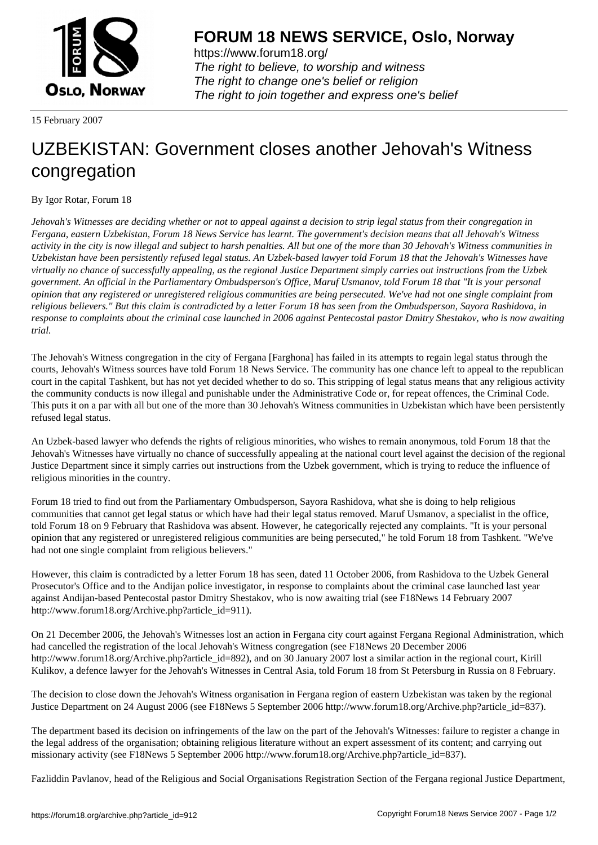

https://www.forum18.org/ The right to believe, to worship and witness The right to change one's belief or religion [The right to join together a](https://www.forum18.org/)nd express one's belief

15 February 2007

## [UZBEKISTAN:](https://www.forum18.org) Government closes another Jehovah's Witness congregation

By Igor Rotar, Forum 18

*Jehovah's Witnesses are deciding whether or not to appeal against a decision to strip legal status from their congregation in Fergana, eastern Uzbekistan, Forum 18 News Service has learnt. The government's decision means that all Jehovah's Witness activity in the city is now illegal and subject to harsh penalties. All but one of the more than 30 Jehovah's Witness communities in Uzbekistan have been persistently refused legal status. An Uzbek-based lawyer told Forum 18 that the Jehovah's Witnesses have virtually no chance of successfully appealing, as the regional Justice Department simply carries out instructions from the Uzbek government. An official in the Parliamentary Ombudsperson's Office, Maruf Usmanov, told Forum 18 that "It is your personal opinion that any registered or unregistered religious communities are being persecuted. We've had not one single complaint from religious believers." But this claim is contradicted by a letter Forum 18 has seen from the Ombudsperson, Sayora Rashidova, in response to complaints about the criminal case launched in 2006 against Pentecostal pastor Dmitry Shestakov, who is now awaiting trial.*

The Jehovah's Witness congregation in the city of Fergana [Farghona] has failed in its attempts to regain legal status through the courts, Jehovah's Witness sources have told Forum 18 News Service. The community has one chance left to appeal to the republican court in the capital Tashkent, but has not yet decided whether to do so. This stripping of legal status means that any religious activity the community conducts is now illegal and punishable under the Administrative Code or, for repeat offences, the Criminal Code. This puts it on a par with all but one of the more than 30 Jehovah's Witness communities in Uzbekistan which have been persistently refused legal status.

An Uzbek-based lawyer who defends the rights of religious minorities, who wishes to remain anonymous, told Forum 18 that the Jehovah's Witnesses have virtually no chance of successfully appealing at the national court level against the decision of the regional Justice Department since it simply carries out instructions from the Uzbek government, which is trying to reduce the influence of religious minorities in the country.

Forum 18 tried to find out from the Parliamentary Ombudsperson, Sayora Rashidova, what she is doing to help religious communities that cannot get legal status or which have had their legal status removed. Maruf Usmanov, a specialist in the office, told Forum 18 on 9 February that Rashidova was absent. However, he categorically rejected any complaints. "It is your personal opinion that any registered or unregistered religious communities are being persecuted," he told Forum 18 from Tashkent. "We've had not one single complaint from religious believers."

However, this claim is contradicted by a letter Forum 18 has seen, dated 11 October 2006, from Rashidova to the Uzbek General Prosecutor's Office and to the Andijan police investigator, in response to complaints about the criminal case launched last year against Andijan-based Pentecostal pastor Dmitry Shestakov, who is now awaiting trial (see F18News 14 February 2007 http://www.forum18.org/Archive.php?article\_id=911).

On 21 December 2006, the Jehovah's Witnesses lost an action in Fergana city court against Fergana Regional Administration, which had cancelled the registration of the local Jehovah's Witness congregation (see F18News 20 December 2006 http://www.forum18.org/Archive.php?article\_id=892), and on 30 January 2007 lost a similar action in the regional court, Kirill Kulikov, a defence lawyer for the Jehovah's Witnesses in Central Asia, told Forum 18 from St Petersburg in Russia on 8 February.

The decision to close down the Jehovah's Witness organisation in Fergana region of eastern Uzbekistan was taken by the regional Justice Department on 24 August 2006 (see F18News 5 September 2006 http://www.forum18.org/Archive.php?article\_id=837).

The department based its decision on infringements of the law on the part of the Jehovah's Witnesses: failure to register a change in the legal address of the organisation; obtaining religious literature without an expert assessment of its content; and carrying out missionary activity (see F18News 5 September 2006 http://www.forum18.org/Archive.php?article\_id=837).

Fazliddin Pavlanov, head of the Religious and Social Organisations Registration Section of the Fergana regional Justice Department,